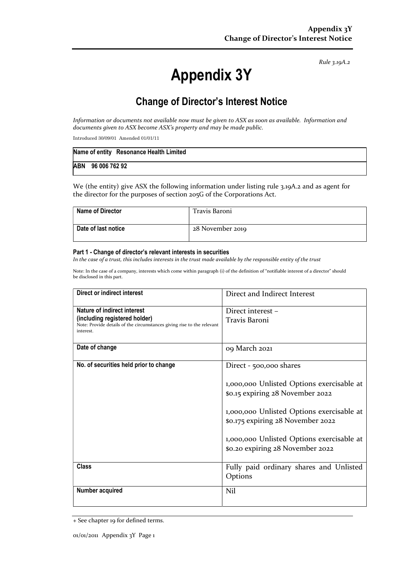Rule 3.19A.2

# Appendix 3Y

# Change of Director's Interest Notice

Information or documents not available now must be given to ASX as soon as available. Information and documents given to ASX become ASX's property and may be made public.

Introduced 30/09/01 Amended 01/01/11

| Name of entity Resonance Health Limited |  |
|-----------------------------------------|--|
| ABN 96 006 762 92                       |  |

We (the entity) give ASX the following information under listing rule 3.19A.2 and as agent for the director for the purposes of section 205G of the Corporations Act.

| <b>Name of Director</b> | Travis Baroni    |
|-------------------------|------------------|
| Date of last notice     | 28 November 2019 |

#### Part 1 - Change of director's relevant interests in securities

In the case of a trust, this includes interests in the trust made available by the responsible entity of the trust

Note: In the case of a company, interests which come within paragraph (i) of the definition of "notifiable interest of a director" should be disclosed in this part.

| Direct or indirect interest                                                                                                                         | Direct and Indirect Interest                                                   |
|-----------------------------------------------------------------------------------------------------------------------------------------------------|--------------------------------------------------------------------------------|
| Nature of indirect interest<br>(including registered holder)<br>Note: Provide details of the circumstances giving rise to the relevant<br>interest. | Direct interest -<br>Travis Baroni                                             |
| Date of change                                                                                                                                      | 09 March 2021                                                                  |
| No. of securities held prior to change                                                                                                              | Direct - 500,000 shares                                                        |
|                                                                                                                                                     | 1,000,000 Unlisted Options exercisable at<br>\$0.15 expiring 28 November 2022  |
|                                                                                                                                                     | 1,000,000 Unlisted Options exercisable at<br>\$0.175 expiring 28 November 2022 |
|                                                                                                                                                     | 1,000,000 Unlisted Options exercisable at<br>\$0.20 expiring 28 November 2022  |
| <b>Class</b>                                                                                                                                        | Fully paid ordinary shares and Unlisted<br>Options                             |
| Number acquired                                                                                                                                     | Nil                                                                            |

<sup>+</sup> See chapter 19 for defined terms.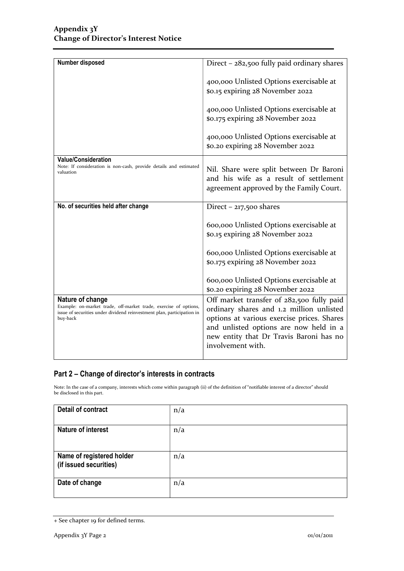| Number disposed                                                                                                                                                            | Direct $-$ 282,500 fully paid ordinary shares                                                                                                                                                                                                 |
|----------------------------------------------------------------------------------------------------------------------------------------------------------------------------|-----------------------------------------------------------------------------------------------------------------------------------------------------------------------------------------------------------------------------------------------|
|                                                                                                                                                                            | 400,000 Unlisted Options exercisable at<br>\$0.15 expiring 28 November 2022                                                                                                                                                                   |
|                                                                                                                                                                            | 400,000 Unlisted Options exercisable at<br>\$0.175 expiring 28 November 2022                                                                                                                                                                  |
|                                                                                                                                                                            | 400,000 Unlisted Options exercisable at<br>\$0.20 expiring 28 November 2022                                                                                                                                                                   |
| <b>Value/Consideration</b><br>Note: If consideration is non-cash, provide details and estimated<br>valuation                                                               | Nil. Share were split between Dr Baroni<br>and his wife as a result of settlement<br>agreement approved by the Family Court.                                                                                                                  |
| No. of securities held after change                                                                                                                                        | Direct $-217,500$ shares                                                                                                                                                                                                                      |
|                                                                                                                                                                            | 600,000 Unlisted Options exercisable at<br>\$0.15 expiring 28 November 2022                                                                                                                                                                   |
|                                                                                                                                                                            | 600,000 Unlisted Options exercisable at<br>\$0.175 expiring 28 November 2022                                                                                                                                                                  |
|                                                                                                                                                                            | 600,000 Unlisted Options exercisable at<br>\$0.20 expiring 28 November 2022                                                                                                                                                                   |
| Nature of change<br>Example: on-market trade, off-market trade, exercise of options,<br>issue of securities under dividend reinvestment plan, participation in<br>buy-back | Off market transfer of 282,500 fully paid<br>ordinary shares and 1.2 million unlisted<br>options at various exercise prices. Shares<br>and unlisted options are now held in a<br>new entity that Dr Travis Baroni has no<br>involvement with. |

### Part 2 – Change of director's interests in contracts

Note: In the case of a company, interests which come within paragraph (ii) of the definition of "notifiable interest of a director" should be disclosed in this part.

| Detail of contract                                  | n/a |
|-----------------------------------------------------|-----|
| <b>Nature of interest</b>                           | n/a |
| Name of registered holder<br>(if issued securities) | n/a |
| Date of change                                      | n/a |

<sup>+</sup> See chapter 19 for defined terms.